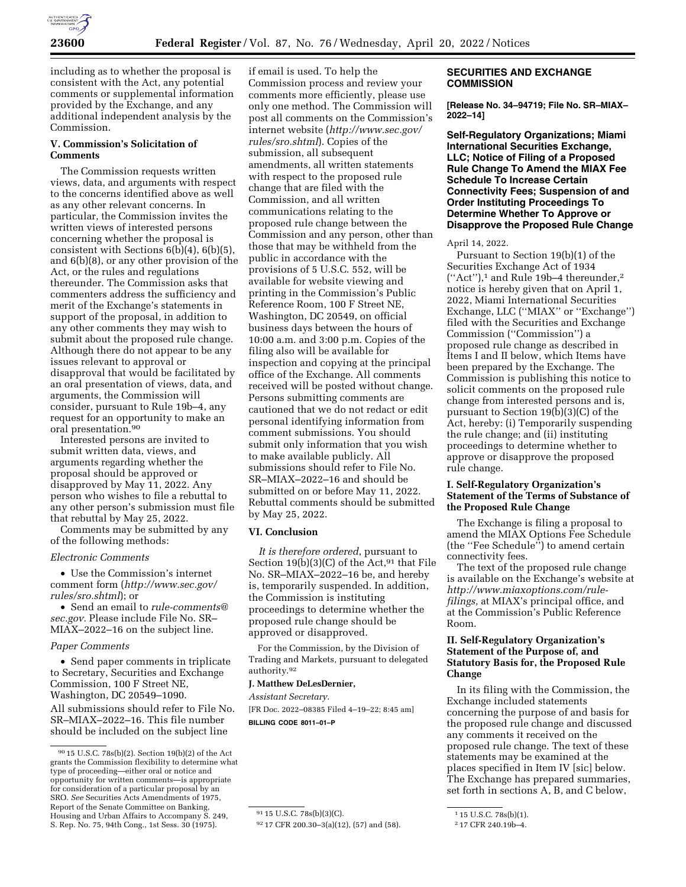

including as to whether the proposal is consistent with the Act, any potential comments or supplemental information provided by the Exchange, and any additional independent analysis by the Commission.

# **V. Commission's Solicitation of Comments**

The Commission requests written views, data, and arguments with respect to the concerns identified above as well as any other relevant concerns. In particular, the Commission invites the written views of interested persons concerning whether the proposal is consistent with Sections 6(b)(4), 6(b)(5), and 6(b)(8), or any other provision of the Act, or the rules and regulations thereunder. The Commission asks that commenters address the sufficiency and merit of the Exchange's statements in support of the proposal, in addition to any other comments they may wish to submit about the proposed rule change. Although there do not appear to be any issues relevant to approval or disapproval that would be facilitated by an oral presentation of views, data, and arguments, the Commission will consider, pursuant to Rule 19b–4, any request for an opportunity to make an oral presentation.90

Interested persons are invited to submit written data, views, and arguments regarding whether the proposal should be approved or disapproved by May 11, 2022. Any person who wishes to file a rebuttal to any other person's submission must file that rebuttal by May 25, 2022.

Comments may be submitted by any of the following methods:

### *Electronic Comments*

• Use the Commission's internet comment form (*[http://www.sec.gov/](http://www.sec.gov/rules/sro.shtml)  [rules/sro.shtml](http://www.sec.gov/rules/sro.shtml)*); or

• Send an email to *[rule-comments@](mailto:rule-comments@sec.gov) [sec.gov.](mailto:rule-comments@sec.gov)* Please include File No. SR– MIAX–2022–16 on the subject line.

#### *Paper Comments*

• Send paper comments in triplicate to Secretary, Securities and Exchange Commission, 100 F Street NE, Washington, DC 20549–1090. All submissions should refer to File No. SR–MIAX–2022–16. This file number should be included on the subject line

if email is used. To help the Commission process and review your comments more efficiently, please use only one method. The Commission will post all comments on the Commission's internet website (*[http://www.sec.gov/](http://www.sec.gov/rules/sro.shtml)  [rules/sro.shtml](http://www.sec.gov/rules/sro.shtml)*). Copies of the submission, all subsequent amendments, all written statements with respect to the proposed rule change that are filed with the Commission, and all written communications relating to the proposed rule change between the Commission and any person, other than those that may be withheld from the public in accordance with the provisions of 5 U.S.C. 552, will be available for website viewing and printing in the Commission's Public Reference Room, 100 F Street NE, Washington, DC 20549, on official business days between the hours of 10:00 a.m. and 3:00 p.m. Copies of the filing also will be available for inspection and copying at the principal office of the Exchange. All comments received will be posted without change. Persons submitting comments are cautioned that we do not redact or edit personal identifying information from comment submissions. You should submit only information that you wish to make available publicly. All submissions should refer to File No. SR–MIAX–2022–16 and should be submitted on or before May 11, 2022. Rebuttal comments should be submitted by May 25, 2022.

### **VI. Conclusion**

*It is therefore ordered*, pursuant to Section 19(b)(3)(C) of the Act,  $91$  that File No. SR–MIAX–2022–16 be, and hereby is, temporarily suspended. In addition, the Commission is instituting proceedings to determine whether the proposed rule change should be approved or disapproved.

For the Commission, by the Division of Trading and Markets, pursuant to delegated authority.92

#### **J. Matthew DeLesDernier,**

#### *Assistant Secretary.*

[FR Doc. 2022–08385 Filed 4–19–22; 8:45 am] **BILLING CODE 8011–01–P** 

# **SECURITIES AND EXCHANGE COMMISSION**

**[Release No. 34–94719; File No. SR–MIAX– 2022–14]** 

**Self-Regulatory Organizations; Miami International Securities Exchange, LLC; Notice of Filing of a Proposed Rule Change To Amend the MIAX Fee Schedule To Increase Certain Connectivity Fees; Suspension of and Order Instituting Proceedings To Determine Whether To Approve or Disapprove the Proposed Rule Change** 

#### April 14, 2022.

Pursuant to Section 19(b)(1) of the Securities Exchange Act of 1934 (''Act''),1 and Rule 19b–4 thereunder,2 notice is hereby given that on April 1, 2022, Miami International Securities Exchange, LLC (''MIAX'' or ''Exchange'') filed with the Securities and Exchange Commission (''Commission'') a proposed rule change as described in Items I and II below, which Items have been prepared by the Exchange. The Commission is publishing this notice to solicit comments on the proposed rule change from interested persons and is, pursuant to Section  $19(b)(3)(C)$  of the Act, hereby: (i) Temporarily suspending the rule change; and (ii) instituting proceedings to determine whether to approve or disapprove the proposed rule change.

# **I. Self-Regulatory Organization's Statement of the Terms of Substance of the Proposed Rule Change**

The Exchange is filing a proposal to amend the MIAX Options Fee Schedule (the ''Fee Schedule'') to amend certain connectivity fees.

The text of the proposed rule change is available on the Exchange's website at *[http://www.miaxoptions.com/rule](http://www.miaxoptions.com/rule-filings)[filings,](http://www.miaxoptions.com/rule-filings)* at MIAX's principal office, and at the Commission's Public Reference Room.

# **II. Self-Regulatory Organization's Statement of the Purpose of, and Statutory Basis for, the Proposed Rule Change**

In its filing with the Commission, the Exchange included statements concerning the purpose of and basis for the proposed rule change and discussed any comments it received on the proposed rule change. The text of these statements may be examined at the places specified in Item IV [sic] below. The Exchange has prepared summaries, set forth in sections A, B, and C below,

<sup>90</sup> 15 U.S.C. 78s(b)(2). Section 19(b)(2) of the Act grants the Commission flexibility to determine what type of proceeding—either oral or notice and opportunity for written comments—is appropriate for consideration of a particular proposal by an SRO. *See* Securities Acts Amendments of 1975, Report of the Senate Committee on Banking, Housing and Urban Affairs to Accompany S. 249, S. Rep. No. 75, 94th Cong., 1st Sess. 30 (1975).

<sup>91</sup> 15 U.S.C. 78s(b)(3)(C).

<sup>92</sup> 17 CFR 200.30–3(a)(12), (57) and (58).

 $\overline{115 \text{ U.S. C. 78s(b)(1)}}$ .

<sup>2</sup> 17 CFR 240.19b–4.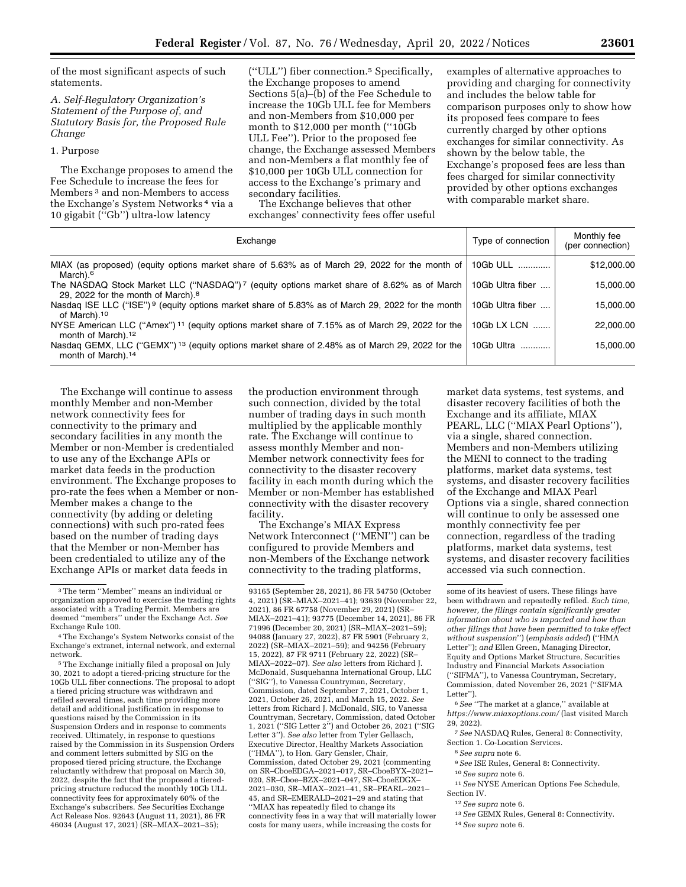of the most significant aspects of such statements.

*A. Self-Regulatory Organization's Statement of the Purpose of, and Statutory Basis for, the Proposed Rule Change* 

### 1. Purpose

The Exchange proposes to amend the Fee Schedule to increase the fees for Members 3 and non-Members to access the Exchange's System Networks 4 via a 10 gigabit (''Gb'') ultra-low latency

(''ULL'') fiber connection.5 Specifically, the Exchange proposes to amend Sections 5(a)–(b) of the Fee Schedule to increase the 10Gb ULL fee for Members and non-Members from \$10,000 per month to \$12,000 per month (''10Gb ULL Fee''). Prior to the proposed fee change, the Exchange assessed Members and non-Members a flat monthly fee of \$10,000 per 10Gb ULL connection for access to the Exchange's primary and secondary facilities.

The Exchange believes that other exchanges' connectivity fees offer useful examples of alternative approaches to providing and charging for connectivity and includes the below table for comparison purposes only to show how its proposed fees compare to fees currently charged by other options exchanges for similar connectivity. As shown by the below table, the Exchange's proposed fees are less than fees charged for similar connectivity provided by other options exchanges with comparable market share.

| Exchange                                                                                                                                      | Type of connection | Monthly fee<br>(per connection) |
|-----------------------------------------------------------------------------------------------------------------------------------------------|--------------------|---------------------------------|
| MIAX (as proposed) (equity options market share of 5.63% as of March 29, 2022 for the month of<br>March). <sup>6</sup>                        | 10Gb ULL           | \$12,000.00                     |
| The NASDAQ Stock Market LLC ("NASDAQ")7 (equity options market share of 8.62% as of March<br>29, 2022 for the month of March). <sup>8</sup>   | 10Gb Ultra fiber   | 15,000.00                       |
| Nasdag ISE LLC ("ISE") <sup>9</sup> (equity options market share of 5.83% as of March 29, 2022 for the month<br>of March). <sup>10</sup>      | 10Gb Ultra fiber   | 15,000.00                       |
| NYSE American LLC ("Amex") <sup>11</sup> (equity options market share of 7.15% as of March 29, 2022 for the<br>month of March). <sup>12</sup> | 10Gb LX LCN        | 22,000.00                       |
| Nasdag GEMX, LLC ("GEMX") <sup>13</sup> (equity options market share of 2.48% as of March 29, 2022 for the<br>month of March). <sup>14</sup>  | 10Gb Ultra         | 15.000.00                       |

The Exchange will continue to assess monthly Member and non-Member network connectivity fees for connectivity to the primary and secondary facilities in any month the Member or non-Member is credentialed to use any of the Exchange APIs or market data feeds in the production environment. The Exchange proposes to pro-rate the fees when a Member or non-Member makes a change to the connectivity (by adding or deleting connections) with such pro-rated fees based on the number of trading days that the Member or non-Member has been credentialed to utilize any of the Exchange APIs or market data feeds in

5The Exchange initially filed a proposal on July 30, 2021 to adopt a tiered-pricing structure for the 10Gb ULL fiber connections. The proposal to adopt a tiered pricing structure was withdrawn and refiled several times, each time providing more detail and additional justification in response to questions raised by the Commission in its Suspension Orders and in response to comments received. Ultimately, in response to questions raised by the Commission in its Suspension Orders and comment letters submitted by SIG on the proposed tiered pricing structure, the Exchange reluctantly withdrew that proposal on March 30, 2022, despite the fact that the proposed a tieredpricing structure reduced the monthly 10Gb ULL connectivity fees for approximately 60% of the Exchange's subscribers. *See* Securities Exchange Act Release Nos. 92643 (August 11, 2021), 86 FR 46034 (August 17, 2021) (SR–MIAX–2021–35);

the production environment through such connection, divided by the total number of trading days in such month multiplied by the applicable monthly rate. The Exchange will continue to assess monthly Member and non-Member network connectivity fees for connectivity to the disaster recovery facility in each month during which the Member or non-Member has established connectivity with the disaster recovery facility.

The Exchange's MIAX Express Network Interconnect (''MENI'') can be configured to provide Members and non-Members of the Exchange network connectivity to the trading platforms,

market data systems, test systems, and disaster recovery facilities of both the Exchange and its affiliate, MIAX PEARL, LLC ("MIAX Pearl Options"), via a single, shared connection. Members and non-Members utilizing the MENI to connect to the trading platforms, market data systems, test systems, and disaster recovery facilities of the Exchange and MIAX Pearl Options via a single, shared connection will continue to only be assessed one monthly connectivity fee per connection, regardless of the trading platforms, market data systems, test systems, and disaster recovery facilities accessed via such connection.

- 8*See supra* note 6.
- 9*See* ISE Rules, General 8: Connectivity.
- 10*See supra* note 6.
- 11*See* NYSE American Options Fee Schedule, Section IV.
- 12*See supra* note 6.
	- 13*See* GEMX Rules, General 8: Connectivity.
	- 14*See supra* note 6.

<sup>3</sup>The term ''Member'' means an individual or organization approved to exercise the trading rights associated with a Trading Permit. Members are deemed ''members'' under the Exchange Act. *See*  Exchange Rule 100.

<sup>4</sup>The Exchange's System Networks consist of the Exchange's extranet, internal network, and external network.

<sup>93165 (</sup>September 28, 2021), 86 FR 54750 (October 4, 2021) (SR–MIAX–2021–41); 93639 (November 22, 2021), 86 FR 67758 (November 29, 2021) (SR– MIAX–2021–41); 93775 (December 14, 2021), 86 FR 71996 (December 20, 2021) (SR–MIAX–2021–59); 94088 (January 27, 2022), 87 FR 5901 (February 2, 2022) (SR–MIAX–2021–59); and 94256 (February 15, 2022), 87 FR 9711 (February 22, 2022) (SR– MIAX–2022–07). *See also* letters from Richard J. McDonald, Susquehanna International Group, LLC (''SIG''), to Vanessa Countryman, Secretary, Commission, dated September 7, 2021, October 1, 2021, October 26, 2021, and March 15, 2022. *See*  letters from Richard J. McDonald, SIG, to Vanessa Countryman, Secretary, Commission, dated October 1, 2021 (''SIG Letter 2'') and October 26, 2021 (''SIG Letter 3''). *See also* letter from Tyler Gellasch, Executive Director, Healthy Markets Association (''HMA''), to Hon. Gary Gensler, Chair, Commission, dated October 29, 2021 (commenting on SR–CboeEDGA–2021–017, SR–CboeBYX–2021– 020, SR–Cboe–BZX–2021–047, SR–CboeEDGX– 2021–030, SR–MIAX–2021–41, SR–PEARL–2021– 45, and SR–EMERALD–2021–29 and stating that ''MIAX has repeatedly filed to change its connectivity fees in a way that will materially lower costs for many users, while increasing the costs for

some of its heaviest of users. These filings have been withdrawn and repeatedly refiled. *Each time, however, the filings contain significantly greater information about who is impacted and how than other filings that have been permitted to take effect without suspension*'') (*emphasis added*) (''HMA Letter''); *and* Ellen Green, Managing Director, Equity and Options Market Structure, Securities Industry and Financial Markets Association (''SIFMA''), to Vanessa Countryman, Secretary, Commission, dated November 26, 2021 (''SIFMA Letter'').

<sup>6</sup>*See* ''The market at a glance,'' available at *<https://www.miaxoptions.com/>* (last visited March 29, 2022).

<sup>7</sup>*See* NASDAQ Rules, General 8: Connectivity, Section 1. Co-Location Services.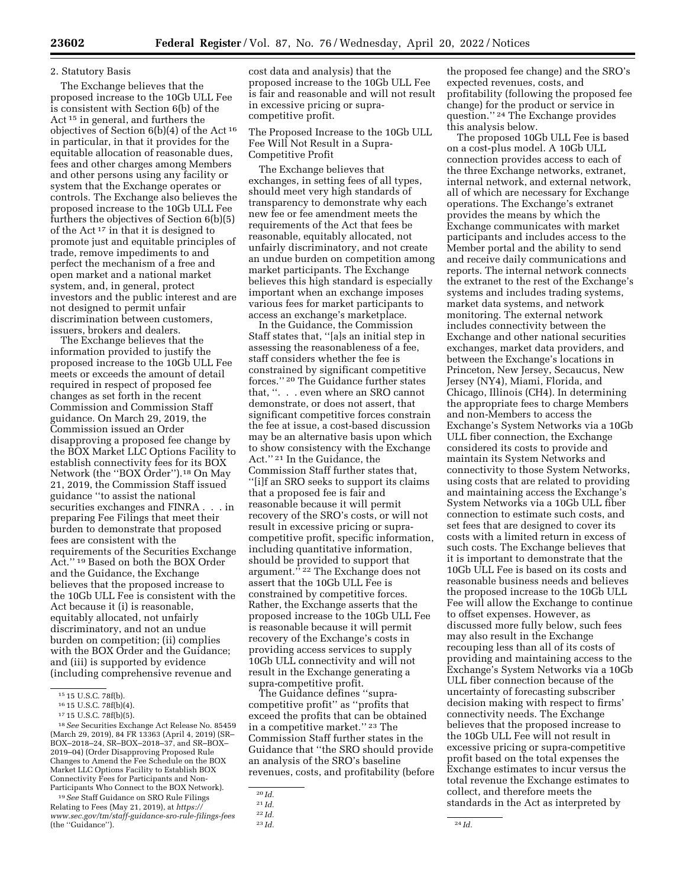## 2. Statutory Basis

The Exchange believes that the proposed increase to the 10Gb ULL Fee is consistent with Section 6(b) of the Act 15 in general, and furthers the objectives of Section 6(b)(4) of the Act 16 in particular, in that it provides for the equitable allocation of reasonable dues, fees and other charges among Members and other persons using any facility or system that the Exchange operates or controls. The Exchange also believes the proposed increase to the 10Gb ULL Fee furthers the objectives of Section 6(b)(5) of the Act 17 in that it is designed to promote just and equitable principles of trade, remove impediments to and perfect the mechanism of a free and open market and a national market system, and, in general, protect investors and the public interest and are not designed to permit unfair discrimination between customers, issuers, brokers and dealers.

The Exchange believes that the information provided to justify the proposed increase to the 10Gb ULL Fee meets or exceeds the amount of detail required in respect of proposed fee changes as set forth in the recent Commission and Commission Staff guidance. On March 29, 2019, the Commission issued an Order disapproving a proposed fee change by the BOX Market LLC Options Facility to establish connectivity fees for its BOX Network (the ''BOX Order'').18 On May 21, 2019, the Commission Staff issued guidance ''to assist the national securities exchanges and FINRA . . . in preparing Fee Filings that meet their burden to demonstrate that proposed fees are consistent with the requirements of the Securities Exchange Act.'' 19 Based on both the BOX Order and the Guidance, the Exchange believes that the proposed increase to the 10Gb ULL Fee is consistent with the Act because it (i) is reasonable, equitably allocated, not unfairly discriminatory, and not an undue burden on competition; (ii) complies with the BOX Order and the Guidance; and (iii) is supported by evidence (including comprehensive revenue and

18*See* Securities Exchange Act Release No. 85459 (March 29, 2019), 84 FR 13363 (April 4, 2019) (SR– BOX–2018–24, SR–BOX–2018–37, and SR–BOX– 2019–04) (Order Disapproving Proposed Rule Changes to Amend the Fee Schedule on the BOX Market LLC Options Facility to Establish BOX Connectivity Fees for Participants and Non-Participants Who Connect to the BOX Network).

19*See* Staff Guidance on SRO Rule Filings Relating to Fees (May 21, 2019), at *[https://](https://www.sec.gov/tm/staff-guidance-sro-rule-filings-fees) [www.sec.gov/tm/staff-guidance-sro-rule-filings-fees](https://www.sec.gov/tm/staff-guidance-sro-rule-filings-fees)*  (the ''Guidance'').

cost data and analysis) that the proposed increase to the 10Gb ULL Fee is fair and reasonable and will not result in excessive pricing or supracompetitive profit.

The Proposed Increase to the 10Gb ULL Fee Will Not Result in a Supra-Competitive Profit

The Exchange believes that exchanges, in setting fees of all types, should meet very high standards of transparency to demonstrate why each new fee or fee amendment meets the requirements of the Act that fees be reasonable, equitably allocated, not unfairly discriminatory, and not create an undue burden on competition among market participants. The Exchange believes this high standard is especially important when an exchange imposes various fees for market participants to access an exchange's marketplace.

In the Guidance, the Commission Staff states that, ''[a]s an initial step in assessing the reasonableness of a fee, staff considers whether the fee is constrained by significant competitive forces.'' 20 The Guidance further states that, ''. . . even where an SRO cannot demonstrate, or does not assert, that significant competitive forces constrain the fee at issue, a cost-based discussion may be an alternative basis upon which to show consistency with the Exchange Act.'' 21 In the Guidance, the Commission Staff further states that, ''[i]f an SRO seeks to support its claims that a proposed fee is fair and reasonable because it will permit recovery of the SRO's costs, or will not result in excessive pricing or supracompetitive profit, specific information, including quantitative information, should be provided to support that argument."<sup>22</sup> The Exchange does not assert that the 10Gb ULL Fee is constrained by competitive forces. Rather, the Exchange asserts that the proposed increase to the 10Gb ULL Fee is reasonable because it will permit recovery of the Exchange's costs in providing access services to supply 10Gb ULL connectivity and will not result in the Exchange generating a supra-competitive profit.

The Guidance defines ''supracompetitive profit'' as ''profits that exceed the profits that can be obtained in a competitive market.'' 23 The Commission Staff further states in the Guidance that ''the SRO should provide an analysis of the SRO's baseline revenues, costs, and profitability (before

the proposed fee change) and the SRO's expected revenues, costs, and profitability (following the proposed fee change) for the product or service in question.'' 24 The Exchange provides this analysis below.

The proposed 10Gb ULL Fee is based on a cost-plus model. A 10Gb ULL connection provides access to each of the three Exchange networks, extranet, internal network, and external network, all of which are necessary for Exchange operations. The Exchange's extranet provides the means by which the Exchange communicates with market participants and includes access to the Member portal and the ability to send and receive daily communications and reports. The internal network connects the extranet to the rest of the Exchange's systems and includes trading systems, market data systems, and network monitoring. The external network includes connectivity between the Exchange and other national securities exchanges, market data providers, and between the Exchange's locations in Princeton, New Jersey, Secaucus, New Jersey (NY4), Miami, Florida, and Chicago, Illinois (CH4). In determining the appropriate fees to charge Members and non-Members to access the Exchange's System Networks via a 10Gb ULL fiber connection, the Exchange considered its costs to provide and maintain its System Networks and connectivity to those System Networks, using costs that are related to providing and maintaining access the Exchange's System Networks via a 10Gb ULL fiber connection to estimate such costs, and set fees that are designed to cover its costs with a limited return in excess of such costs. The Exchange believes that it is important to demonstrate that the 10Gb ULL Fee is based on its costs and reasonable business needs and believes the proposed increase to the 10Gb ULL Fee will allow the Exchange to continue to offset expenses. However, as discussed more fully below, such fees may also result in the Exchange recouping less than all of its costs of providing and maintaining access to the Exchange's System Networks via a 10Gb ULL fiber connection because of the uncertainty of forecasting subscriber decision making with respect to firms' connectivity needs. The Exchange believes that the proposed increase to the 10Gb ULL Fee will not result in excessive pricing or supra-competitive profit based on the total expenses the Exchange estimates to incur versus the total revenue the Exchange estimates to collect, and therefore meets the standards in the Act as interpreted by

<sup>15</sup> 15 U.S.C. 78f(b).

<sup>16</sup> 15 U.S.C. 78f(b)(4).

<sup>17</sup> 15 U.S.C. 78f(b)(5).

<sup>20</sup> *Id.* 

<sup>21</sup> *Id.* 

<sup>22</sup> *Id.* 

<sup>23</sup> *Id.* 24 *Id.*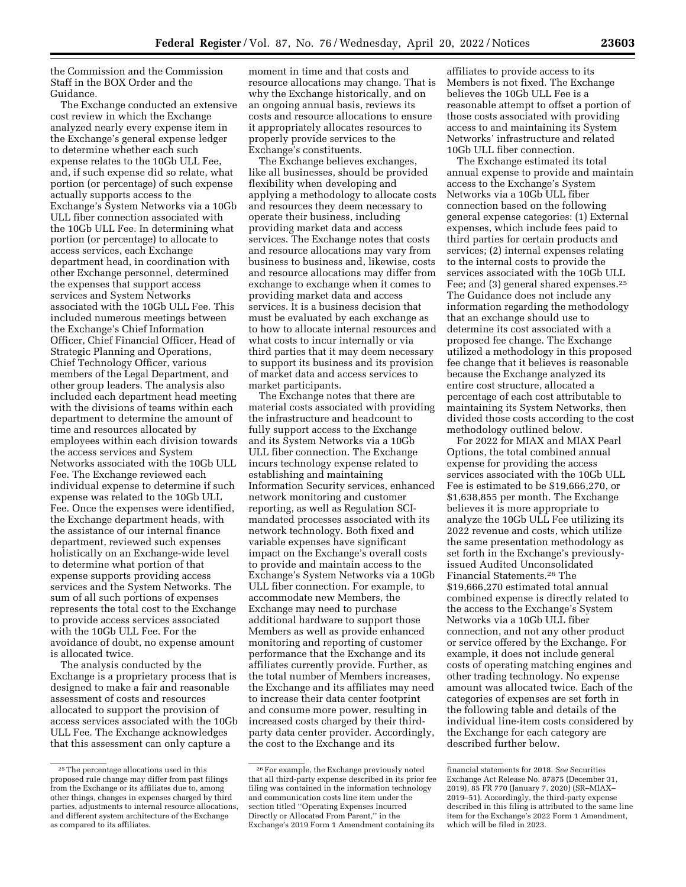the Commission and the Commission Staff in the BOX Order and the Guidance.

The Exchange conducted an extensive cost review in which the Exchange analyzed nearly every expense item in the Exchange's general expense ledger to determine whether each such expense relates to the 10Gb ULL Fee, and, if such expense did so relate, what portion (or percentage) of such expense actually supports access to the Exchange's System Networks via a 10Gb ULL fiber connection associated with the 10Gb ULL Fee. In determining what portion (or percentage) to allocate to access services, each Exchange department head, in coordination with other Exchange personnel, determined the expenses that support access services and System Networks associated with the 10Gb ULL Fee. This included numerous meetings between the Exchange's Chief Information Officer, Chief Financial Officer, Head of Strategic Planning and Operations, Chief Technology Officer, various members of the Legal Department, and other group leaders. The analysis also included each department head meeting with the divisions of teams within each department to determine the amount of time and resources allocated by employees within each division towards the access services and System Networks associated with the 10Gb ULL Fee. The Exchange reviewed each individual expense to determine if such expense was related to the 10Gb ULL Fee. Once the expenses were identified, the Exchange department heads, with the assistance of our internal finance department, reviewed such expenses holistically on an Exchange-wide level to determine what portion of that expense supports providing access services and the System Networks. The sum of all such portions of expenses represents the total cost to the Exchange to provide access services associated with the 10Gb ULL Fee. For the avoidance of doubt, no expense amount is allocated twice.

The analysis conducted by the Exchange is a proprietary process that is designed to make a fair and reasonable assessment of costs and resources allocated to support the provision of access services associated with the 10Gb ULL Fee. The Exchange acknowledges that this assessment can only capture a

moment in time and that costs and resource allocations may change. That is why the Exchange historically, and on an ongoing annual basis, reviews its costs and resource allocations to ensure it appropriately allocates resources to properly provide services to the Exchange's constituents.

The Exchange believes exchanges, like all businesses, should be provided flexibility when developing and applying a methodology to allocate costs and resources they deem necessary to operate their business, including providing market data and access services. The Exchange notes that costs and resource allocations may vary from business to business and, likewise, costs and resource allocations may differ from exchange to exchange when it comes to providing market data and access services. It is a business decision that must be evaluated by each exchange as to how to allocate internal resources and what costs to incur internally or via third parties that it may deem necessary to support its business and its provision of market data and access services to market participants.

The Exchange notes that there are material costs associated with providing the infrastructure and headcount to fully support access to the Exchange and its System Networks via a 10Gb ULL fiber connection. The Exchange incurs technology expense related to establishing and maintaining Information Security services, enhanced network monitoring and customer reporting, as well as Regulation SCImandated processes associated with its network technology. Both fixed and variable expenses have significant impact on the Exchange's overall costs to provide and maintain access to the Exchange's System Networks via a 10Gb ULL fiber connection. For example, to accommodate new Members, the Exchange may need to purchase additional hardware to support those Members as well as provide enhanced monitoring and reporting of customer performance that the Exchange and its affiliates currently provide. Further, as the total number of Members increases, the Exchange and its affiliates may need to increase their data center footprint and consume more power, resulting in increased costs charged by their thirdparty data center provider. Accordingly, the cost to the Exchange and its

affiliates to provide access to its Members is not fixed. The Exchange believes the 10Gb ULL Fee is a reasonable attempt to offset a portion of those costs associated with providing access to and maintaining its System Networks' infrastructure and related 10Gb ULL fiber connection.

The Exchange estimated its total annual expense to provide and maintain access to the Exchange's System Networks via a 10Gb ULL fiber connection based on the following general expense categories: (1) External expenses, which include fees paid to third parties for certain products and services; (2) internal expenses relating to the internal costs to provide the services associated with the 10Gb ULL Fee; and (3) general shared expenses.25 The Guidance does not include any information regarding the methodology that an exchange should use to determine its cost associated with a proposed fee change. The Exchange utilized a methodology in this proposed fee change that it believes is reasonable because the Exchange analyzed its entire cost structure, allocated a percentage of each cost attributable to maintaining its System Networks, then divided those costs according to the cost methodology outlined below.

For 2022 for MIAX and MIAX Pearl Options, the total combined annual expense for providing the access services associated with the 10Gb ULL Fee is estimated to be \$19,666,270, or \$1,638,855 per month. The Exchange believes it is more appropriate to analyze the 10Gb ULL Fee utilizing its 2022 revenue and costs, which utilize the same presentation methodology as set forth in the Exchange's previouslyissued Audited Unconsolidated Financial Statements.26 The \$19,666,270 estimated total annual combined expense is directly related to the access to the Exchange's System Networks via a 10Gb ULL fiber connection, and not any other product or service offered by the Exchange. For example, it does not include general costs of operating matching engines and other trading technology. No expense amount was allocated twice. Each of the categories of expenses are set forth in the following table and details of the individual line-item costs considered by the Exchange for each category are described further below.

<sup>25</sup>The percentage allocations used in this proposed rule change may differ from past filings from the Exchange or its affiliates due to, among other things, changes in expenses charged by third parties, adjustments to internal resource allocations, and different system architecture of the Exchange as compared to its affiliates.

 $^{\rm 26}$  For example, the Exchange previously noted that all third-party expense described in its prior fee filing was contained in the information technology and communication costs line item under the section titled ''Operating Expenses Incurred Directly or Allocated From Parent,'' in the Exchange's 2019 Form 1 Amendment containing its

financial statements for 2018. *See* Securities Exchange Act Release No. 87875 (December 31, 2019), 85 FR 770 (January 7, 2020) (SR–MIAX– 2019–51). Accordingly, the third-party expense described in this filing is attributed to the same line item for the Exchange's 2022 Form 1 Amendment, which will be filed in 2023.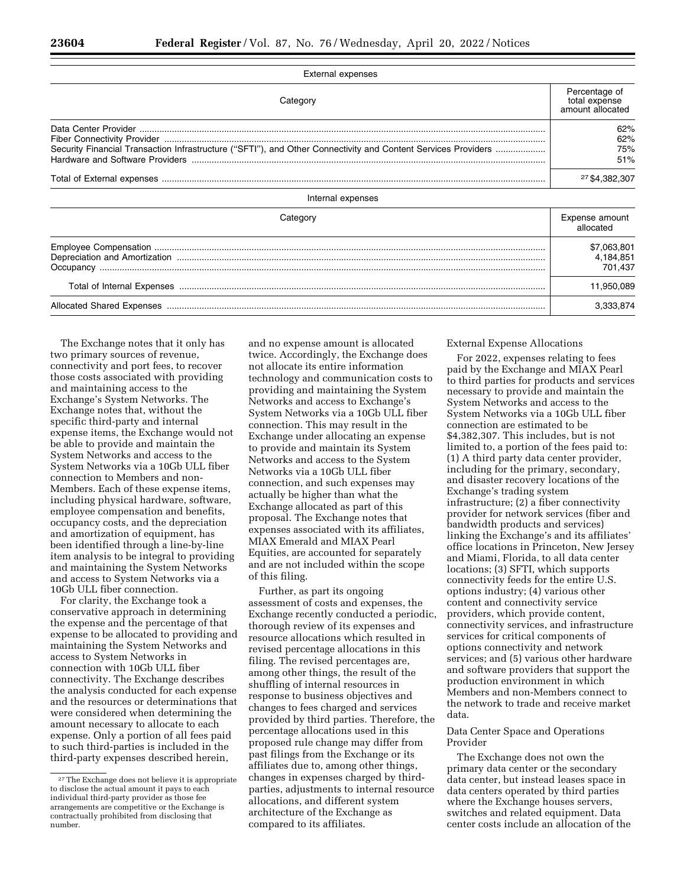| <b>External expenses</b>                                                                                      |                                                    |  |
|---------------------------------------------------------------------------------------------------------------|----------------------------------------------------|--|
| Category                                                                                                      | Percentage of<br>total expense<br>amount allocated |  |
| Security Financial Transaction Infrastructure ("SFTI"), and Other Connectivity and Content Services Providers | 62%<br>62%<br>75%<br>51%                           |  |
|                                                                                                               | 27 \$4,382,307                                     |  |
| Internal expenses                                                                                             |                                                    |  |
| Category                                                                                                      | Expense amount<br>allocated                        |  |
|                                                                                                               | \$7,063,801<br>4,184,851<br>701,437                |  |
|                                                                                                               | 11,950,089                                         |  |
|                                                                                                               | 3,333,874                                          |  |

The Exchange notes that it only has two primary sources of revenue, connectivity and port fees, to recover those costs associated with providing and maintaining access to the Exchange's System Networks. The Exchange notes that, without the specific third-party and internal expense items, the Exchange would not be able to provide and maintain the System Networks and access to the System Networks via a 10Gb ULL fiber connection to Members and non-Members. Each of these expense items, including physical hardware, software, employee compensation and benefits, occupancy costs, and the depreciation and amortization of equipment, has been identified through a line-by-line item analysis to be integral to providing and maintaining the System Networks and access to System Networks via a 10Gb ULL fiber connection.

For clarity, the Exchange took a conservative approach in determining the expense and the percentage of that expense to be allocated to providing and maintaining the System Networks and access to System Networks in connection with 10Gb ULL fiber connectivity. The Exchange describes the analysis conducted for each expense and the resources or determinations that were considered when determining the amount necessary to allocate to each expense. Only a portion of all fees paid to such third-parties is included in the third-party expenses described herein,

and no expense amount is allocated twice. Accordingly, the Exchange does not allocate its entire information technology and communication costs to providing and maintaining the System Networks and access to Exchange's System Networks via a 10Gb ULL fiber connection. This may result in the Exchange under allocating an expense to provide and maintain its System Networks and access to the System Networks via a 10Gb ULL fiber connection, and such expenses may actually be higher than what the Exchange allocated as part of this proposal. The Exchange notes that expenses associated with its affiliates, MIAX Emerald and MIAX Pearl Equities, are accounted for separately and are not included within the scope of this filing.

Further, as part its ongoing assessment of costs and expenses, the Exchange recently conducted a periodic, thorough review of its expenses and resource allocations which resulted in revised percentage allocations in this filing. The revised percentages are, among other things, the result of the shuffling of internal resources in response to business objectives and changes to fees charged and services provided by third parties. Therefore, the percentage allocations used in this proposed rule change may differ from past filings from the Exchange or its affiliates due to, among other things, changes in expenses charged by thirdparties, adjustments to internal resource allocations, and different system architecture of the Exchange as compared to its affiliates.

External Expense Allocations

For 2022, expenses relating to fees paid by the Exchange and MIAX Pearl to third parties for products and services necessary to provide and maintain the System Networks and access to the System Networks via a 10Gb ULL fiber connection are estimated to be \$4,382,307. This includes, but is not limited to, a portion of the fees paid to: (1) A third party data center provider, including for the primary, secondary, and disaster recovery locations of the Exchange's trading system infrastructure; (2) a fiber connectivity provider for network services (fiber and bandwidth products and services) linking the Exchange's and its affiliates' office locations in Princeton, New Jersey and Miami, Florida, to all data center locations; (3) SFTI, which supports connectivity feeds for the entire U.S. options industry; (4) various other content and connectivity service providers, which provide content, connectivity services, and infrastructure services for critical components of options connectivity and network services; and (5) various other hardware and software providers that support the production environment in which Members and non-Members connect to the network to trade and receive market data.

# Data Center Space and Operations Provider

The Exchange does not own the primary data center or the secondary data center, but instead leases space in data centers operated by third parties where the Exchange houses servers, switches and related equipment. Data center costs include an allocation of the

<sup>&</sup>lt;sup>27</sup>The Exchange does not believe it is appropriate to disclose the actual amount it pays to each individual third-party provider as those fee arrangements are competitive or the Exchange is contractually prohibited from disclosing that number.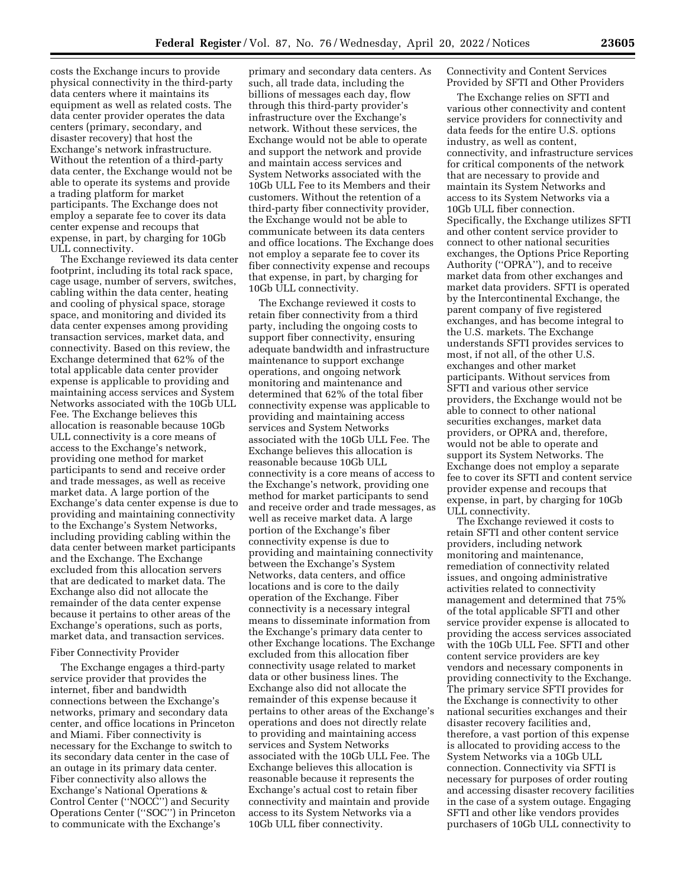costs the Exchange incurs to provide physical connectivity in the third-party data centers where it maintains its equipment as well as related costs. The data center provider operates the data centers (primary, secondary, and disaster recovery) that host the Exchange's network infrastructure. Without the retention of a third-party data center, the Exchange would not be able to operate its systems and provide a trading platform for market participants. The Exchange does not employ a separate fee to cover its data center expense and recoups that expense, in part, by charging for 10Gb ULL connectivity.

The Exchange reviewed its data center footprint, including its total rack space, cage usage, number of servers, switches, cabling within the data center, heating and cooling of physical space, storage space, and monitoring and divided its data center expenses among providing transaction services, market data, and connectivity. Based on this review, the Exchange determined that 62% of the total applicable data center provider expense is applicable to providing and maintaining access services and System Networks associated with the 10Gb ULL Fee. The Exchange believes this allocation is reasonable because 10Gb ULL connectivity is a core means of access to the Exchange's network, providing one method for market participants to send and receive order and trade messages, as well as receive market data. A large portion of the Exchange's data center expense is due to providing and maintaining connectivity to the Exchange's System Networks, including providing cabling within the data center between market participants and the Exchange. The Exchange excluded from this allocation servers that are dedicated to market data. The Exchange also did not allocate the remainder of the data center expense because it pertains to other areas of the Exchange's operations, such as ports, market data, and transaction services.

# Fiber Connectivity Provider

The Exchange engages a third-party service provider that provides the internet, fiber and bandwidth connections between the Exchange's networks, primary and secondary data center, and office locations in Princeton and Miami. Fiber connectivity is necessary for the Exchange to switch to its secondary data center in the case of an outage in its primary data center. Fiber connectivity also allows the Exchange's National Operations & Control Center (''NOCC'') and Security Operations Center (''SOC'') in Princeton to communicate with the Exchange's

primary and secondary data centers. As such, all trade data, including the billions of messages each day, flow through this third-party provider's infrastructure over the Exchange's network. Without these services, the Exchange would not be able to operate and support the network and provide and maintain access services and System Networks associated with the 10Gb ULL Fee to its Members and their customers. Without the retention of a third-party fiber connectivity provider, the Exchange would not be able to communicate between its data centers and office locations. The Exchange does not employ a separate fee to cover its fiber connectivity expense and recoups that expense, in part, by charging for 10Gb ULL connectivity.

The Exchange reviewed it costs to retain fiber connectivity from a third party, including the ongoing costs to support fiber connectivity, ensuring adequate bandwidth and infrastructure maintenance to support exchange operations, and ongoing network monitoring and maintenance and determined that 62% of the total fiber connectivity expense was applicable to providing and maintaining access services and System Networks associated with the 10Gb ULL Fee. The Exchange believes this allocation is reasonable because 10Gb ULL connectivity is a core means of access to the Exchange's network, providing one method for market participants to send and receive order and trade messages, as well as receive market data. A large portion of the Exchange's fiber connectivity expense is due to providing and maintaining connectivity between the Exchange's System Networks, data centers, and office locations and is core to the daily operation of the Exchange. Fiber connectivity is a necessary integral means to disseminate information from the Exchange's primary data center to other Exchange locations. The Exchange excluded from this allocation fiber connectivity usage related to market data or other business lines. The Exchange also did not allocate the remainder of this expense because it pertains to other areas of the Exchange's operations and does not directly relate to providing and maintaining access services and System Networks associated with the 10Gb ULL Fee. The Exchange believes this allocation is reasonable because it represents the Exchange's actual cost to retain fiber connectivity and maintain and provide access to its System Networks via a 10Gb ULL fiber connectivity.

Connectivity and Content Services Provided by SFTI and Other Providers

The Exchange relies on SFTI and various other connectivity and content service providers for connectivity and data feeds for the entire U.S. options industry, as well as content, connectivity, and infrastructure services for critical components of the network that are necessary to provide and maintain its System Networks and access to its System Networks via a 10Gb ULL fiber connection. Specifically, the Exchange utilizes SFTI and other content service provider to connect to other national securities exchanges, the Options Price Reporting Authority (''OPRA''), and to receive market data from other exchanges and market data providers. SFTI is operated by the Intercontinental Exchange, the parent company of five registered exchanges, and has become integral to the U.S. markets. The Exchange understands SFTI provides services to most, if not all, of the other U.S. exchanges and other market participants. Without services from SFTI and various other service providers, the Exchange would not be able to connect to other national securities exchanges, market data providers, or OPRA and, therefore, would not be able to operate and support its System Networks. The Exchange does not employ a separate fee to cover its SFTI and content service provider expense and recoups that expense, in part, by charging for 10Gb ULL connectivity.

The Exchange reviewed it costs to retain SFTI and other content service providers, including network monitoring and maintenance, remediation of connectivity related issues, and ongoing administrative activities related to connectivity management and determined that 75% of the total applicable SFTI and other service provider expense is allocated to providing the access services associated with the 10Gb ULL Fee. SFTI and other content service providers are key vendors and necessary components in providing connectivity to the Exchange. The primary service SFTI provides for the Exchange is connectivity to other national securities exchanges and their disaster recovery facilities and, therefore, a vast portion of this expense is allocated to providing access to the System Networks via a 10Gb ULL connection. Connectivity via SFTI is necessary for purposes of order routing and accessing disaster recovery facilities in the case of a system outage. Engaging SFTI and other like vendors provides purchasers of 10Gb ULL connectivity to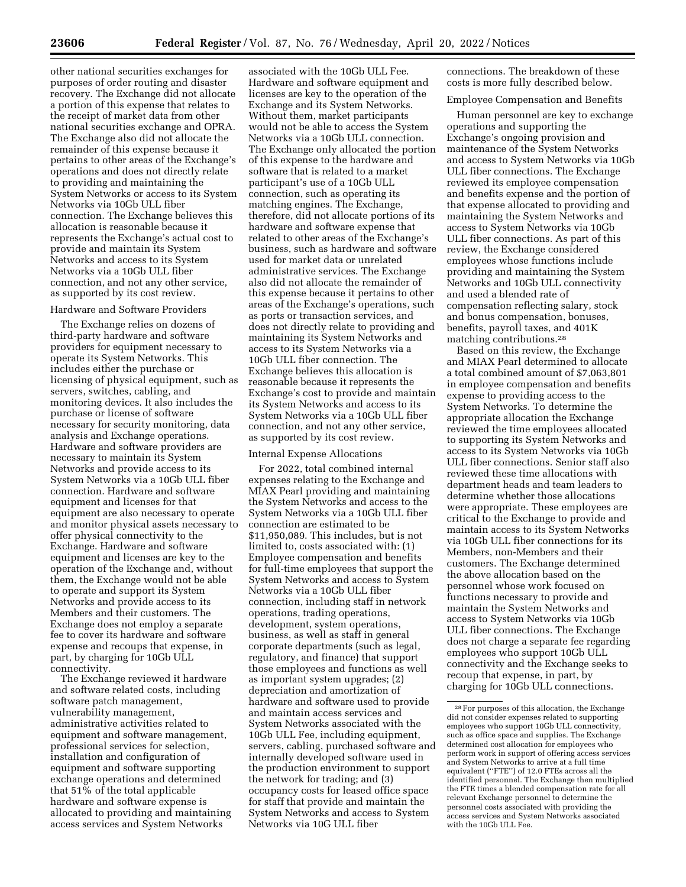other national securities exchanges for purposes of order routing and disaster recovery. The Exchange did not allocate a portion of this expense that relates to the receipt of market data from other national securities exchange and OPRA. The Exchange also did not allocate the remainder of this expense because it pertains to other areas of the Exchange's operations and does not directly relate to providing and maintaining the System Networks or access to its System Networks via 10Gb ULL fiber connection. The Exchange believes this allocation is reasonable because it represents the Exchange's actual cost to provide and maintain its System Networks and access to its System Networks via a 10Gb ULL fiber connection, and not any other service, as supported by its cost review.

### Hardware and Software Providers

The Exchange relies on dozens of third-party hardware and software providers for equipment necessary to operate its System Networks. This includes either the purchase or licensing of physical equipment, such as servers, switches, cabling, and monitoring devices. It also includes the purchase or license of software necessary for security monitoring, data analysis and Exchange operations. Hardware and software providers are necessary to maintain its System Networks and provide access to its System Networks via a 10Gb ULL fiber connection. Hardware and software equipment and licenses for that equipment are also necessary to operate and monitor physical assets necessary to offer physical connectivity to the Exchange. Hardware and software equipment and licenses are key to the operation of the Exchange and, without them, the Exchange would not be able to operate and support its System Networks and provide access to its Members and their customers. The Exchange does not employ a separate fee to cover its hardware and software expense and recoups that expense, in part, by charging for 10Gb ULL connectivity.

The Exchange reviewed it hardware and software related costs, including software patch management, vulnerability management, administrative activities related to equipment and software management, professional services for selection, installation and configuration of equipment and software supporting exchange operations and determined that 51% of the total applicable hardware and software expense is allocated to providing and maintaining access services and System Networks

associated with the 10Gb ULL Fee. Hardware and software equipment and licenses are key to the operation of the Exchange and its System Networks. Without them, market participants would not be able to access the System Networks via a 10Gb ULL connection. The Exchange only allocated the portion of this expense to the hardware and software that is related to a market participant's use of a 10Gb ULL connection, such as operating its matching engines. The Exchange, therefore, did not allocate portions of its hardware and software expense that related to other areas of the Exchange's business, such as hardware and software used for market data or unrelated administrative services. The Exchange also did not allocate the remainder of this expense because it pertains to other areas of the Exchange's operations, such as ports or transaction services, and does not directly relate to providing and maintaining its System Networks and access to its System Networks via a 10Gb ULL fiber connection. The Exchange believes this allocation is reasonable because it represents the Exchange's cost to provide and maintain its System Networks and access to its System Networks via a 10Gb ULL fiber connection, and not any other service, as supported by its cost review.

### Internal Expense Allocations

For 2022, total combined internal expenses relating to the Exchange and MIAX Pearl providing and maintaining the System Networks and access to the System Networks via a 10Gb ULL fiber connection are estimated to be \$11,950,089. This includes, but is not limited to, costs associated with: (1) Employee compensation and benefits for full-time employees that support the System Networks and access to System Networks via a 10Gb ULL fiber connection, including staff in network operations, trading operations, development, system operations, business, as well as staff in general corporate departments (such as legal, regulatory, and finance) that support those employees and functions as well as important system upgrades; (2) depreciation and amortization of hardware and software used to provide and maintain access services and System Networks associated with the 10Gb ULL Fee, including equipment, servers, cabling, purchased software and internally developed software used in the production environment to support the network for trading; and (3) occupancy costs for leased office space for staff that provide and maintain the System Networks and access to System Networks via 10G ULL fiber

connections. The breakdown of these costs is more fully described below.

### Employee Compensation and Benefits

Human personnel are key to exchange operations and supporting the Exchange's ongoing provision and maintenance of the System Networks and access to System Networks via 10Gb ULL fiber connections. The Exchange reviewed its employee compensation and benefits expense and the portion of that expense allocated to providing and maintaining the System Networks and access to System Networks via 10Gb ULL fiber connections. As part of this review, the Exchange considered employees whose functions include providing and maintaining the System Networks and 10Gb ULL connectivity and used a blended rate of compensation reflecting salary, stock and bonus compensation, bonuses, benefits, payroll taxes, and 401K matching contributions.28

Based on this review, the Exchange and MIAX Pearl determined to allocate a total combined amount of \$7,063,801 in employee compensation and benefits expense to providing access to the System Networks. To determine the appropriate allocation the Exchange reviewed the time employees allocated to supporting its System Networks and access to its System Networks via 10Gb ULL fiber connections. Senior staff also reviewed these time allocations with department heads and team leaders to determine whether those allocations were appropriate. These employees are critical to the Exchange to provide and maintain access to its System Networks via 10Gb ULL fiber connections for its Members, non-Members and their customers. The Exchange determined the above allocation based on the personnel whose work focused on functions necessary to provide and maintain the System Networks and access to System Networks via 10Gb ULL fiber connections. The Exchange does not charge a separate fee regarding employees who support 10Gb ULL connectivity and the Exchange seeks to recoup that expense, in part, by charging for 10Gb ULL connections.

<sup>28</sup>For purposes of this allocation, the Exchange did not consider expenses related to supporting employees who support 10Gb ULL connectivity, such as office space and supplies. The Exchange determined cost allocation for employees who perform work in support of offering access services and System Networks to arrive at a full time equivalent (''FTE'') of 12.0 FTEs across all the identified personnel. The Exchange then multiplied the FTE times a blended compensation rate for all relevant Exchange personnel to determine the personnel costs associated with providing the access services and System Networks associated with the 10Gb ULL Fee.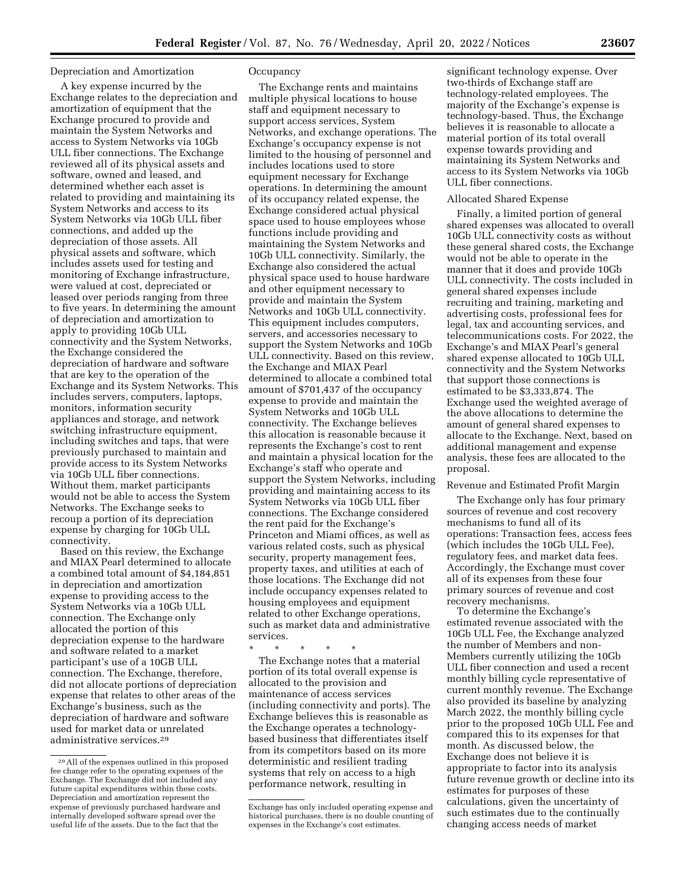### Depreciation and Amortization

A key expense incurred by the Exchange relates to the depreciation and amortization of equipment that the Exchange procured to provide and maintain the System Networks and access to System Networks via 10Gb ULL fiber connections. The Exchange reviewed all of its physical assets and software, owned and leased, and determined whether each asset is related to providing and maintaining its System Networks and access to its System Networks via 10Gb ULL fiber connections, and added up the depreciation of those assets. All physical assets and software, which includes assets used for testing and monitoring of Exchange infrastructure, were valued at cost, depreciated or leased over periods ranging from three to five years. In determining the amount of depreciation and amortization to apply to providing 10Gb ULL connectivity and the System Networks, the Exchange considered the depreciation of hardware and software that are key to the operation of the Exchange and its System Networks. This includes servers, computers, laptops, monitors, information security appliances and storage, and network switching infrastructure equipment, including switches and taps, that were previously purchased to maintain and provide access to its System Networks via 10Gb ULL fiber connections. Without them, market participants would not be able to access the System Networks. The Exchange seeks to recoup a portion of its depreciation expense by charging for 10Gb ULL connectivity.

Based on this review, the Exchange and MIAX Pearl determined to allocate a combined total amount of \$4,184,851 in depreciation and amortization expense to providing access to the System Networks via a 10Gb ULL connection. The Exchange only allocated the portion of this depreciation expense to the hardware and software related to a market participant's use of a 10GB ULL connection. The Exchange, therefore, did not allocate portions of depreciation expense that relates to other areas of the Exchange's business, such as the depreciation of hardware and software used for market data or unrelated administrative services.29

## **Occupancy**

The Exchange rents and maintains multiple physical locations to house staff and equipment necessary to support access services, System Networks, and exchange operations. The Exchange's occupancy expense is not limited to the housing of personnel and includes locations used to store equipment necessary for Exchange operations. In determining the amount of its occupancy related expense, the Exchange considered actual physical space used to house employees whose functions include providing and maintaining the System Networks and 10Gb ULL connectivity. Similarly, the Exchange also considered the actual physical space used to house hardware and other equipment necessary to provide and maintain the System Networks and 10Gb ULL connectivity. This equipment includes computers, servers, and accessories necessary to support the System Networks and 10Gb ULL connectivity. Based on this review, the Exchange and MIAX Pearl determined to allocate a combined total amount of \$701,437 of the occupancy expense to provide and maintain the System Networks and 10Gb ULL connectivity. The Exchange believes this allocation is reasonable because it represents the Exchange's cost to rent and maintain a physical location for the Exchange's staff who operate and support the System Networks, including providing and maintaining access to its System Networks via 10Gb ULL fiber connections. The Exchange considered the rent paid for the Exchange's Princeton and Miami offices, as well as various related costs, such as physical security, property management fees, property taxes, and utilities at each of those locations. The Exchange did not include occupancy expenses related to housing employees and equipment related to other Exchange operations, such as market data and administrative services.

\* \* \* \* \*

The Exchange notes that a material portion of its total overall expense is allocated to the provision and maintenance of access services (including connectivity and ports). The Exchange believes this is reasonable as the Exchange operates a technologybased business that differentiates itself from its competitors based on its more deterministic and resilient trading systems that rely on access to a high performance network, resulting in

significant technology expense. Over two-thirds of Exchange staff are technology-related employees. The majority of the Exchange's expense is technology-based. Thus, the Exchange believes it is reasonable to allocate a material portion of its total overall expense towards providing and maintaining its System Networks and access to its System Networks via 10Gb ULL fiber connections.

#### Allocated Shared Expense

Finally, a limited portion of general shared expenses was allocated to overall 10Gb ULL connectivity costs as without these general shared costs, the Exchange would not be able to operate in the manner that it does and provide 10Gb ULL connectivity. The costs included in general shared expenses include recruiting and training, marketing and advertising costs, professional fees for legal, tax and accounting services, and telecommunications costs. For 2022, the Exchange's and MIAX Pearl's general shared expense allocated to 10Gb ULL connectivity and the System Networks that support those connections is estimated to be \$3,333,874. The Exchange used the weighted average of the above allocations to determine the amount of general shared expenses to allocate to the Exchange. Next, based on additional management and expense analysis, these fees are allocated to the proposal.

### Revenue and Estimated Profit Margin

The Exchange only has four primary sources of revenue and cost recovery mechanisms to fund all of its operations: Transaction fees, access fees (which includes the 10Gb ULL Fee), regulatory fees, and market data fees. Accordingly, the Exchange must cover all of its expenses from these four primary sources of revenue and cost recovery mechanisms.

To determine the Exchange's estimated revenue associated with the 10Gb ULL Fee, the Exchange analyzed the number of Members and non-Members currently utilizing the 10Gb ULL fiber connection and used a recent monthly billing cycle representative of current monthly revenue. The Exchange also provided its baseline by analyzing March 2022, the monthly billing cycle prior to the proposed 10Gb ULL Fee and compared this to its expenses for that month. As discussed below, the Exchange does not believe it is appropriate to factor into its analysis future revenue growth or decline into its estimates for purposes of these calculations, given the uncertainty of such estimates due to the continually changing access needs of market

<sup>29</sup>All of the expenses outlined in this proposed fee change refer to the operating expenses of the Exchange. The Exchange did not included any future capital expenditures within these costs. Depreciation and amortization represent the expense of previously purchased hardware and internally developed software spread over the useful life of the assets. Due to the fact that the

Exchange has only included operating expense and historical purchases, there is no double counting of expenses in the Exchange's cost estimates.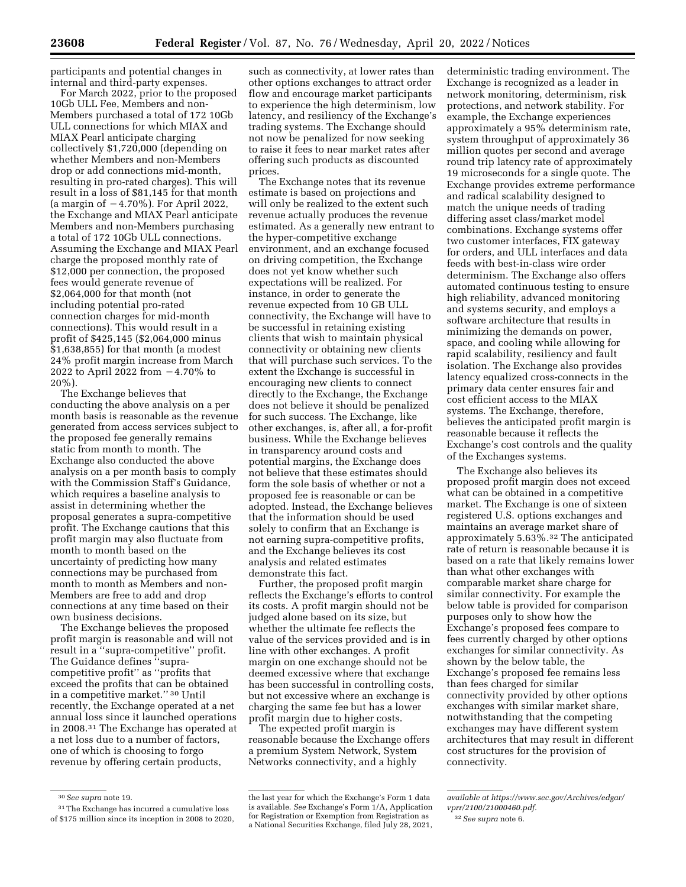participants and potential changes in internal and third-party expenses.

For March 2022, prior to the proposed 10Gb ULL Fee, Members and non-Members purchased a total of 172 10Gb ULL connections for which MIAX and MIAX Pearl anticipate charging collectively \$1,720,000 (depending on whether Members and non-Members drop or add connections mid-month, resulting in pro-rated charges). This will result in a loss of \$81,145 for that month (a margin of  $-4.70\%$ ). For April 2022, the Exchange and MIAX Pearl anticipate Members and non-Members purchasing a total of 172 10Gb ULL connections. Assuming the Exchange and MIAX Pearl charge the proposed monthly rate of \$12,000 per connection, the proposed fees would generate revenue of \$2,064,000 for that month (not including potential pro-rated connection charges for mid-month connections). This would result in a profit of \$425,145 (\$2,064,000 minus \$1,638,855) for that month (a modest 24% profit margin increase from March 2022 to April 2022 from  $-4.70\%$  to 20%).

The Exchange believes that conducting the above analysis on a per month basis is reasonable as the revenue generated from access services subject to the proposed fee generally remains static from month to month. The Exchange also conducted the above analysis on a per month basis to comply with the Commission Staff's Guidance, which requires a baseline analysis to assist in determining whether the proposal generates a supra-competitive profit. The Exchange cautions that this profit margin may also fluctuate from month to month based on the uncertainty of predicting how many connections may be purchased from month to month as Members and non-Members are free to add and drop connections at any time based on their own business decisions.

The Exchange believes the proposed profit margin is reasonable and will not result in a ''supra-competitive'' profit. The Guidance defines ''supracompetitive profit'' as ''profits that exceed the profits that can be obtained in a competitive market.'' 30 Until recently, the Exchange operated at a net annual loss since it launched operations in 2008.31 The Exchange has operated at a net loss due to a number of factors, one of which is choosing to forgo revenue by offering certain products,

such as connectivity, at lower rates than other options exchanges to attract order flow and encourage market participants to experience the high determinism, low latency, and resiliency of the Exchange's trading systems. The Exchange should not now be penalized for now seeking to raise it fees to near market rates after offering such products as discounted prices.

The Exchange notes that its revenue estimate is based on projections and will only be realized to the extent such revenue actually produces the revenue estimated. As a generally new entrant to the hyper-competitive exchange environment, and an exchange focused on driving competition, the Exchange does not yet know whether such expectations will be realized. For instance, in order to generate the revenue expected from 10 GB ULL connectivity, the Exchange will have to be successful in retaining existing clients that wish to maintain physical connectivity or obtaining new clients that will purchase such services. To the extent the Exchange is successful in encouraging new clients to connect directly to the Exchange, the Exchange does not believe it should be penalized for such success. The Exchange, like other exchanges, is, after all, a for-profit business. While the Exchange believes in transparency around costs and potential margins, the Exchange does not believe that these estimates should form the sole basis of whether or not a proposed fee is reasonable or can be adopted. Instead, the Exchange believes that the information should be used solely to confirm that an Exchange is not earning supra-competitive profits, and the Exchange believes its cost analysis and related estimates demonstrate this fact.

Further, the proposed profit margin reflects the Exchange's efforts to control its costs. A profit margin should not be judged alone based on its size, but whether the ultimate fee reflects the value of the services provided and is in line with other exchanges. A profit margin on one exchange should not be deemed excessive where that exchange has been successful in controlling costs, but not excessive where an exchange is charging the same fee but has a lower profit margin due to higher costs.

The expected profit margin is reasonable because the Exchange offers a premium System Network, System Networks connectivity, and a highly

deterministic trading environment. The Exchange is recognized as a leader in network monitoring, determinism, risk protections, and network stability. For example, the Exchange experiences approximately a 95% determinism rate, system throughput of approximately 36 million quotes per second and average round trip latency rate of approximately 19 microseconds for a single quote. The Exchange provides extreme performance and radical scalability designed to match the unique needs of trading differing asset class/market model combinations. Exchange systems offer two customer interfaces, FIX gateway for orders, and ULL interfaces and data feeds with best-in-class wire order determinism. The Exchange also offers automated continuous testing to ensure high reliability, advanced monitoring and systems security, and employs a software architecture that results in minimizing the demands on power, space, and cooling while allowing for rapid scalability, resiliency and fault isolation. The Exchange also provides latency equalized cross-connects in the primary data center ensures fair and cost efficient access to the MIAX systems. The Exchange, therefore, believes the anticipated profit margin is reasonable because it reflects the Exchange's cost controls and the quality of the Exchanges systems.

The Exchange also believes its proposed profit margin does not exceed what can be obtained in a competitive market. The Exchange is one of sixteen registered U.S. options exchanges and maintains an average market share of approximately 5.63%.32 The anticipated rate of return is reasonable because it is based on a rate that likely remains lower than what other exchanges with comparable market share charge for similar connectivity. For example the below table is provided for comparison purposes only to show how the Exchange's proposed fees compare to fees currently charged by other options exchanges for similar connectivity. As shown by the below table, the Exchange's proposed fee remains less than fees charged for similar connectivity provided by other options exchanges with similar market share, notwithstanding that the competing exchanges may have different system architectures that may result in different cost structures for the provision of connectivity.

<sup>30</sup>*See supra* note 19.

<sup>31</sup>The Exchange has incurred a cumulative loss of \$175 million since its inception in 2008 to 2020,

the last year for which the Exchange's Form 1 data is available. *See* Exchange's Form 1/A, Application for Registration or Exemption from Registration as a National Securities Exchange, filed July 28, 2021,

*available at [https://www.sec.gov/Archives/edgar/](https://www.sec.gov/Archives/edgar/vprr/2100/21000460.pdf) [vprr/2100/21000460.pdf.](https://www.sec.gov/Archives/edgar/vprr/2100/21000460.pdf)* 

<sup>32</sup>*See supra* note 6.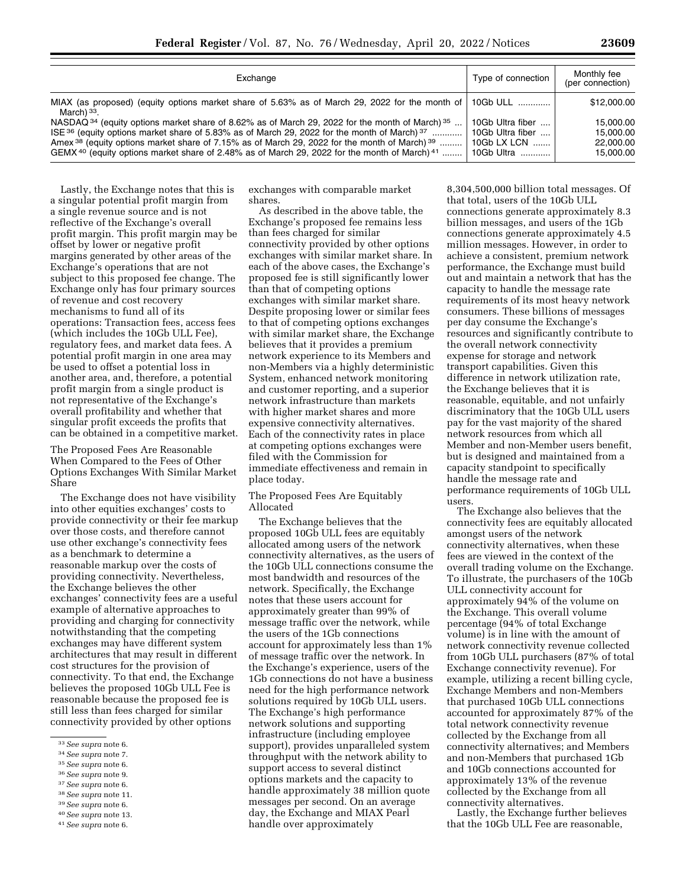| Exchange                                                                                                                                                                                                                                                                                                                                                                                                                                                                | Type of connection                                                | Monthly fee<br>(per connection)                  |
|-------------------------------------------------------------------------------------------------------------------------------------------------------------------------------------------------------------------------------------------------------------------------------------------------------------------------------------------------------------------------------------------------------------------------------------------------------------------------|-------------------------------------------------------------------|--------------------------------------------------|
| MIAX (as proposed) (equity options market share of 5.63% as of March 29, 2022 for the month of   10Gb ULL<br>March) $33$ .                                                                                                                                                                                                                                                                                                                                              |                                                                   | \$12,000.00                                      |
| NASDAQ <sup>34</sup> (equity options market share of 8.62% as of March 29, 2022 for the month of March) <sup>35</sup><br>ISE $36$ (equity options market share of 5.83% as of March 29, 2022 for the month of March) $37$<br>Amex <sup>38</sup> (equity options market share of 7.15% as of March 29, 2022 for the month of March) <sup>39</sup><br>GEMX <sup>40</sup> (equity options market share of 2.48% as of March 29, 2022 for the month of March) <sup>41</sup> | 10Gb Ultra fiber<br>10Gb Ultra fiber<br>10Gb LX LCN<br>10Gb Ultra | 15.000.00<br>15.000.00<br>22,000.00<br>15,000,00 |

Lastly, the Exchange notes that this is a singular potential profit margin from a single revenue source and is not reflective of the Exchange's overall profit margin. This profit margin may be offset by lower or negative profit margins generated by other areas of the Exchange's operations that are not subject to this proposed fee change. The Exchange only has four primary sources of revenue and cost recovery mechanisms to fund all of its operations: Transaction fees, access fees (which includes the 10Gb ULL Fee), regulatory fees, and market data fees. A potential profit margin in one area may be used to offset a potential loss in another area, and, therefore, a potential profit margin from a single product is not representative of the Exchange's overall profitability and whether that singular profit exceeds the profits that can be obtained in a competitive market.

The Proposed Fees Are Reasonable When Compared to the Fees of Other Options Exchanges With Similar Market Share

The Exchange does not have visibility into other equities exchanges' costs to provide connectivity or their fee markup over those costs, and therefore cannot use other exchange's connectivity fees as a benchmark to determine a reasonable markup over the costs of providing connectivity. Nevertheless, the Exchange believes the other exchanges' connectivity fees are a useful example of alternative approaches to providing and charging for connectivity notwithstanding that the competing exchanges may have different system architectures that may result in different cost structures for the provision of connectivity. To that end, the Exchange believes the proposed 10Gb ULL Fee is reasonable because the proposed fee is still less than fees charged for similar connectivity provided by other options

- 38*See supra* note 11.
- 39*See supra* note 6.

41*See supra* note 6.

exchanges with comparable market shares.

As described in the above table, the Exchange's proposed fee remains less than fees charged for similar connectivity provided by other options exchanges with similar market share. In each of the above cases, the Exchange's proposed fee is still significantly lower than that of competing options exchanges with similar market share. Despite proposing lower or similar fees to that of competing options exchanges with similar market share, the Exchange believes that it provides a premium network experience to its Members and non-Members via a highly deterministic System, enhanced network monitoring and customer reporting, and a superior network infrastructure than markets with higher market shares and more expensive connectivity alternatives. Each of the connectivity rates in place at competing options exchanges were filed with the Commission for immediate effectiveness and remain in place today.

The Proposed Fees Are Equitably Allocated

The Exchange believes that the proposed 10Gb ULL fees are equitably allocated among users of the network connectivity alternatives, as the users of the 10Gb ULL connections consume the most bandwidth and resources of the network. Specifically, the Exchange notes that these users account for approximately greater than 99% of message traffic over the network, while the users of the 1Gb connections account for approximately less than 1% of message traffic over the network. In the Exchange's experience, users of the 1Gb connections do not have a business need for the high performance network solutions required by 10Gb ULL users. The Exchange's high performance network solutions and supporting infrastructure (including employee support), provides unparalleled system throughput with the network ability to support access to several distinct options markets and the capacity to handle approximately 38 million quote messages per second. On an average day, the Exchange and MIAX Pearl handle over approximately

8,304,500,000 billion total messages. Of that total, users of the 10Gb ULL connections generate approximately 8.3 billion messages, and users of the 1Gb connections generate approximately 4.5 million messages. However, in order to achieve a consistent, premium network performance, the Exchange must build out and maintain a network that has the capacity to handle the message rate requirements of its most heavy network consumers. These billions of messages per day consume the Exchange's resources and significantly contribute to the overall network connectivity expense for storage and network transport capabilities. Given this difference in network utilization rate, the Exchange believes that it is reasonable, equitable, and not unfairly discriminatory that the 10Gb ULL users pay for the vast majority of the shared network resources from which all Member and non-Member users benefit, but is designed and maintained from a capacity standpoint to specifically handle the message rate and performance requirements of 10Gb ULL users.

The Exchange also believes that the connectivity fees are equitably allocated amongst users of the network connectivity alternatives, when these fees are viewed in the context of the overall trading volume on the Exchange. To illustrate, the purchasers of the 10Gb ULL connectivity account for approximately 94% of the volume on the Exchange. This overall volume percentage (94% of total Exchange volume) is in line with the amount of network connectivity revenue collected from 10Gb ULL purchasers (87% of total Exchange connectivity revenue). For example, utilizing a recent billing cycle, Exchange Members and non-Members that purchased 10Gb ULL connections accounted for approximately 87% of the total network connectivity revenue collected by the Exchange from all connectivity alternatives; and Members and non-Members that purchased 1Gb and 10Gb connections accounted for approximately 13% of the revenue collected by the Exchange from all connectivity alternatives.

Lastly, the Exchange further believes that the 10Gb ULL Fee are reasonable,

<sup>33</sup>*See supra* note 6.

<sup>34</sup>*See supra* note 7.

<sup>35</sup>*See supra* note 6.

<sup>36</sup>*See supra* note 9.

<sup>37</sup>*See supra* note 6.

<sup>40</sup>*See supra* note 13.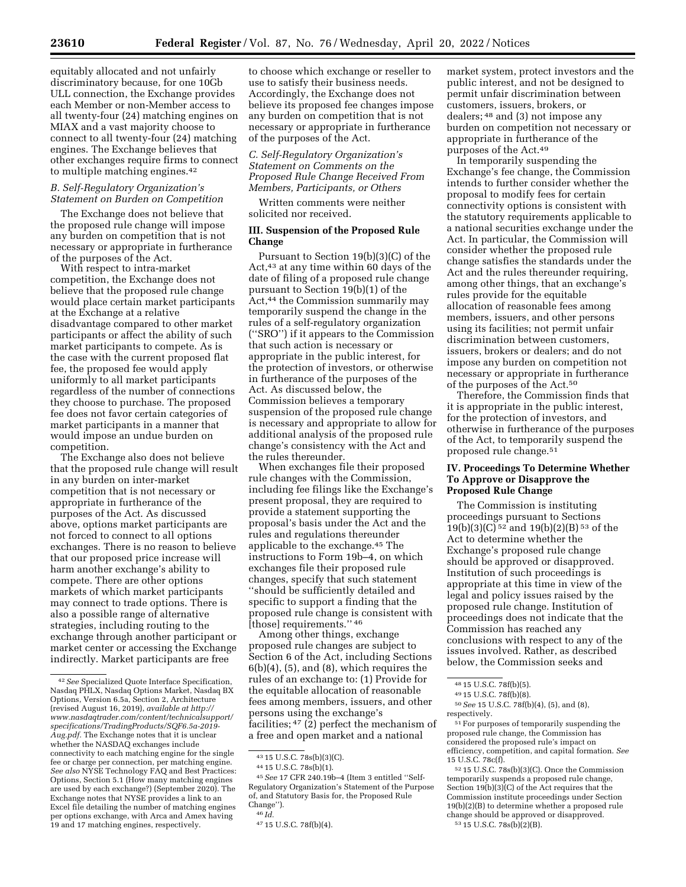equitably allocated and not unfairly discriminatory because, for one 10Gb ULL connection, the Exchange provides

each Member or non-Member access to all twenty-four (24) matching engines on MIAX and a vast majority choose to connect to all twenty-four (24) matching engines. The Exchange believes that other exchanges require firms to connect to multiple matching engines.42

## *B. Self-Regulatory Organization's Statement on Burden on Competition*

The Exchange does not believe that the proposed rule change will impose any burden on competition that is not necessary or appropriate in furtherance of the purposes of the Act.

With respect to intra-market competition, the Exchange does not believe that the proposed rule change would place certain market participants at the Exchange at a relative disadvantage compared to other market participants or affect the ability of such market participants to compete. As is the case with the current proposed flat fee, the proposed fee would apply uniformly to all market participants regardless of the number of connections they choose to purchase. The proposed fee does not favor certain categories of market participants in a manner that would impose an undue burden on competition.

The Exchange also does not believe that the proposed rule change will result in any burden on inter-market competition that is not necessary or appropriate in furtherance of the purposes of the Act. As discussed above, options market participants are not forced to connect to all options exchanges. There is no reason to believe that our proposed price increase will harm another exchange's ability to compete. There are other options markets of which market participants may connect to trade options. There is also a possible range of alternative strategies, including routing to the exchange through another participant or market center or accessing the Exchange indirectly. Market participants are free

to choose which exchange or reseller to use to satisfy their business needs. Accordingly, the Exchange does not believe its proposed fee changes impose any burden on competition that is not necessary or appropriate in furtherance of the purposes of the Act.

*C. Self-Regulatory Organization's Statement on Comments on the Proposed Rule Change Received From Members, Participants, or Others* 

Written comments were neither solicited nor received.

# **III. Suspension of the Proposed Rule Change**

Pursuant to Section 19(b)(3)(C) of the Act,43 at any time within 60 days of the date of filing of a proposed rule change pursuant to Section 19(b)(1) of the Act,<sup>44</sup> the Commission summarily may temporarily suspend the change in the rules of a self-regulatory organization (''SRO'') if it appears to the Commission that such action is necessary or appropriate in the public interest, for the protection of investors, or otherwise in furtherance of the purposes of the Act. As discussed below, the Commission believes a temporary suspension of the proposed rule change is necessary and appropriate to allow for additional analysis of the proposed rule change's consistency with the Act and the rules thereunder.

When exchanges file their proposed rule changes with the Commission, including fee filings like the Exchange's present proposal, they are required to provide a statement supporting the proposal's basis under the Act and the rules and regulations thereunder applicable to the exchange.45 The instructions to Form 19b–4, on which exchanges file their proposed rule changes, specify that such statement ''should be sufficiently detailed and specific to support a finding that the proposed rule change is consistent with [those] requirements." 46

Among other things, exchange proposed rule changes are subject to Section 6 of the Act, including Sections  $6(b)(4)$ ,  $(5)$ , and  $(8)$ , which requires the rules of an exchange to: (1) Provide for the equitable allocation of reasonable fees among members, issuers, and other persons using the exchange's facilities; 47 (2) perfect the mechanism of a free and open market and a national

market system, protect investors and the public interest, and not be designed to permit unfair discrimination between customers, issuers, brokers, or dealers; 48 and (3) not impose any burden on competition not necessary or appropriate in furtherance of the purposes of the Act.49

In temporarily suspending the Exchange's fee change, the Commission intends to further consider whether the proposal to modify fees for certain connectivity options is consistent with the statutory requirements applicable to a national securities exchange under the Act. In particular, the Commission will consider whether the proposed rule change satisfies the standards under the Act and the rules thereunder requiring, among other things, that an exchange's rules provide for the equitable allocation of reasonable fees among members, issuers, and other persons using its facilities; not permit unfair discrimination between customers, issuers, brokers or dealers; and do not impose any burden on competition not necessary or appropriate in furtherance of the purposes of the Act.50

Therefore, the Commission finds that it is appropriate in the public interest, for the protection of investors, and otherwise in furtherance of the purposes of the Act, to temporarily suspend the proposed rule change.51

# **IV. Proceedings To Determine Whether To Approve or Disapprove the Proposed Rule Change**

The Commission is instituting proceedings pursuant to Sections 19(b)(3)(C) 52 and 19(b)(2)(B) 53 of the Act to determine whether the Exchange's proposed rule change should be approved or disapproved. Institution of such proceedings is appropriate at this time in view of the legal and policy issues raised by the proposed rule change. Institution of proceedings does not indicate that the Commission has reached any conclusions with respect to any of the issues involved. Rather, as described below, the Commission seeks and

51For purposes of temporarily suspending the proposed rule change, the Commission has considered the proposed rule's impact on efficiency, competition, and capital formation. *See*  15 U.S.C. 78c(f).

52 15 U.S.C. 78s(b)(3)(C). Once the Commission temporarily suspends a proposed rule change, Section 19(b)(3)(C) of the Act requires that the Commission institute proceedings under Section 19(b)(2)(B) to determine whether a proposed rule change should be approved or disapproved. 53 15 U.S.C. 78s(b)(2)(B).

<sup>42</sup>*See* Specialized Quote Interface Specification, Nasdaq PHLX, Nasdaq Options Market, Nasdaq BX Options, Version 6.5a, Section 2, Architecture (revised August 16, 2019), *available at [http://](http://www.nasdaqtrader.com/content/technicalsupport/specifications/TradingProducts/SQF6.5a-2019-Aug.pdf) [www.nasdaqtrader.com/content/technicalsupport/](http://www.nasdaqtrader.com/content/technicalsupport/specifications/TradingProducts/SQF6.5a-2019-Aug.pdf) [specifications/TradingProducts/SQF6.5a-2019-](http://www.nasdaqtrader.com/content/technicalsupport/specifications/TradingProducts/SQF6.5a-2019-Aug.pdf) [Aug.pdf.](http://www.nasdaqtrader.com/content/technicalsupport/specifications/TradingProducts/SQF6.5a-2019-Aug.pdf)* The Exchange notes that it is unclear whether the NASDAQ exchanges include connectivity to each matching engine for the single fee or charge per connection, per matching engine. *See also* NYSE Technology FAQ and Best Practices: Options, Section 5.1 (How many matching engines are used by each exchange?) (September 2020). The Exchange notes that NYSE provides a link to an Excel file detailing the number of matching engines per options exchange, with Arca and Amex having 19 and 17 matching engines, respectively.

<sup>43</sup> 15 U.S.C. 78s(b)(3)(C).

<sup>44</sup> 15 U.S.C. 78s(b)(1).

<sup>45</sup>*See* 17 CFR 240.19b–4 (Item 3 entitled ''Self-Regulatory Organization's Statement of the Purpose of, and Statutory Basis for, the Proposed Rule Change'').

 $46$  *Id.* 

<sup>47</sup> 15 U.S.C. 78f(b)(4).

<sup>48</sup> 15 U.S.C. 78f(b)(5).

<sup>49</sup> 15 U.S.C. 78f(b)(8).

<sup>50</sup>*See* 15 U.S.C. 78f(b)(4), (5), and (8), respectively.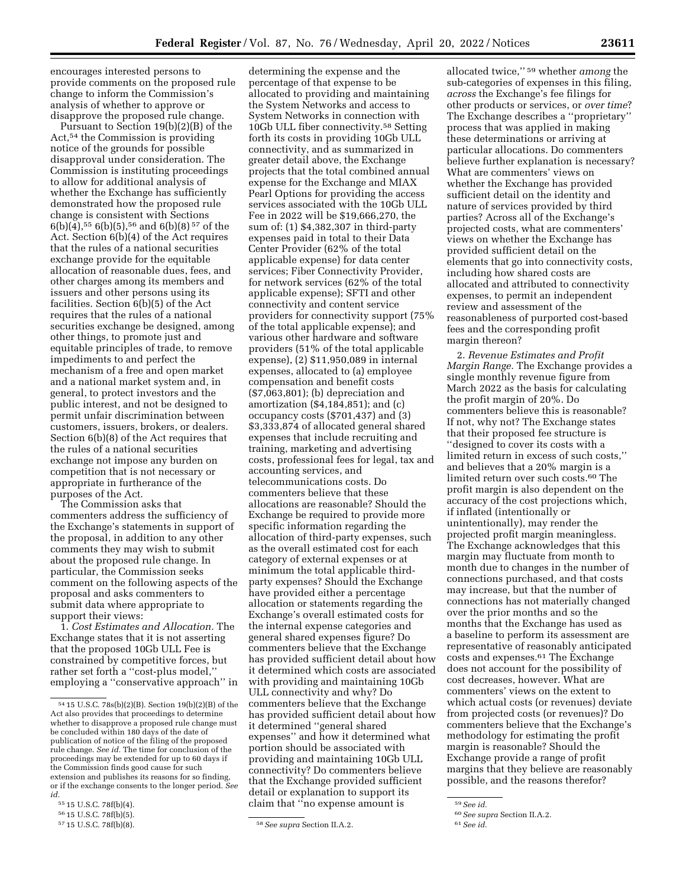encourages interested persons to provide comments on the proposed rule change to inform the Commission's analysis of whether to approve or

disapprove the proposed rule change. Pursuant to Section 19(b)(2)(B) of the Act,54 the Commission is providing notice of the grounds for possible disapproval under consideration. The Commission is instituting proceedings to allow for additional analysis of whether the Exchange has sufficiently demonstrated how the proposed rule change is consistent with Sections 6(b)(4),55 6(b)(5),56 and 6(b)(8) 57 of the Act. Section 6(b)(4) of the Act requires that the rules of a national securities exchange provide for the equitable allocation of reasonable dues, fees, and other charges among its members and issuers and other persons using its facilities. Section 6(b)(5) of the Act requires that the rules of a national securities exchange be designed, among other things, to promote just and equitable principles of trade, to remove impediments to and perfect the mechanism of a free and open market and a national market system and, in general, to protect investors and the public interest, and not be designed to permit unfair discrimination between customers, issuers, brokers, or dealers. Section 6(b)(8) of the Act requires that the rules of a national securities exchange not impose any burden on competition that is not necessary or appropriate in furtherance of the purposes of the Act.

The Commission asks that commenters address the sufficiency of the Exchange's statements in support of the proposal, in addition to any other comments they may wish to submit about the proposed rule change. In particular, the Commission seeks comment on the following aspects of the proposal and asks commenters to submit data where appropriate to support their views:

1. *Cost Estimates and Allocation.* The Exchange states that it is not asserting that the proposed 10Gb ULL Fee is constrained by competitive forces, but rather set forth a ''cost-plus model,'' employing a ''conservative approach'' in

determining the expense and the percentage of that expense to be allocated to providing and maintaining the System Networks and access to System Networks in connection with 10Gb ULL fiber connectivity.58 Setting forth its costs in providing 10Gb ULL connectivity, and as summarized in greater detail above, the Exchange projects that the total combined annual expense for the Exchange and MIAX Pearl Options for providing the access services associated with the 10Gb ULL Fee in 2022 will be \$19,666,270, the sum of: (1) \$4,382,307 in third-party expenses paid in total to their Data Center Provider (62% of the total applicable expense) for data center services; Fiber Connectivity Provider, for network services (62% of the total applicable expense); SFTI and other connectivity and content service providers for connectivity support (75% of the total applicable expense); and various other hardware and software providers (51% of the total applicable expense), (2) \$11,950,089 in internal expenses, allocated to (a) employee compensation and benefit costs (\$7,063,801); (b) depreciation and amortization (\$4,184,851); and (c) occupancy costs (\$701,437) and (3) \$3,333,874 of allocated general shared expenses that include recruiting and training, marketing and advertising costs, professional fees for legal, tax and accounting services, and telecommunications costs. Do commenters believe that these allocations are reasonable? Should the Exchange be required to provide more specific information regarding the allocation of third-party expenses, such as the overall estimated cost for each category of external expenses or at minimum the total applicable thirdparty expenses? Should the Exchange have provided either a percentage allocation or statements regarding the Exchange's overall estimated costs for the internal expense categories and general shared expenses figure? Do commenters believe that the Exchange has provided sufficient detail about how it determined which costs are associated with providing and maintaining 10Gb ULL connectivity and why? Do commenters believe that the Exchange has provided sufficient detail about how it determined ''general shared expenses'' and how it determined what portion should be associated with providing and maintaining 10Gb ULL connectivity? Do commenters believe that the Exchange provided sufficient detail or explanation to support its claim that ''no expense amount is

allocated twice,'' 59 whether *among* the sub-categories of expenses in this filing, *across* the Exchange's fee filings for other products or services, or *over time*? The Exchange describes a ''proprietary'' process that was applied in making these determinations or arriving at particular allocations. Do commenters believe further explanation is necessary? What are commenters' views on whether the Exchange has provided sufficient detail on the identity and nature of services provided by third parties? Across all of the Exchange's projected costs, what are commenters' views on whether the Exchange has provided sufficient detail on the elements that go into connectivity costs, including how shared costs are allocated and attributed to connectivity expenses, to permit an independent review and assessment of the reasonableness of purported cost-based fees and the corresponding profit margin thereon?

2. *Revenue Estimates and Profit Margin Range.* The Exchange provides a single monthly revenue figure from March 2022 as the basis for calculating the profit margin of 20%. Do commenters believe this is reasonable? If not, why not? The Exchange states that their proposed fee structure is ''designed to cover its costs with a limited return in excess of such costs,'' and believes that a 20% margin is a limited return over such costs.60 The profit margin is also dependent on the accuracy of the cost projections which, if inflated (intentionally or unintentionally), may render the projected profit margin meaningless. The Exchange acknowledges that this margin may fluctuate from month to month due to changes in the number of connections purchased, and that costs may increase, but that the number of connections has not materially changed over the prior months and so the months that the Exchange has used as a baseline to perform its assessment are representative of reasonably anticipated costs and expenses.61 The Exchange does not account for the possibility of cost decreases, however. What are commenters' views on the extent to which actual costs (or revenues) deviate from projected costs (or revenues)? Do commenters believe that the Exchange's methodology for estimating the profit margin is reasonable? Should the Exchange provide a range of profit margins that they believe are reasonably possible, and the reasons therefor?

<sup>54</sup> 15 U.S.C. 78s(b)(2)(B). Section 19(b)(2)(B) of the Act also provides that proceedings to determine whether to disapprove a proposed rule change must be concluded within 180 days of the date of publication of notice of the filing of the proposed rule change. *See id.* The time for conclusion of the proceedings may be extended for up to 60 days if the Commission finds good cause for such extension and publishes its reasons for so finding, or if the exchange consents to the longer period. *See id.* 

<sup>55</sup> 15 U.S.C. 78f(b)(4).

<sup>56 15</sup> U.S.C. 78f(b)(5).<br>57 15 U.S.C. 78f(b)(8).

<sup>57</sup> 15 U.S.C. 78f(b)(8). 58*See supra* Section II.A.2.

<sup>59</sup>*See id.* 

<sup>60</sup>*See supra* Section II.A.2.

<sup>61</sup>*See id.*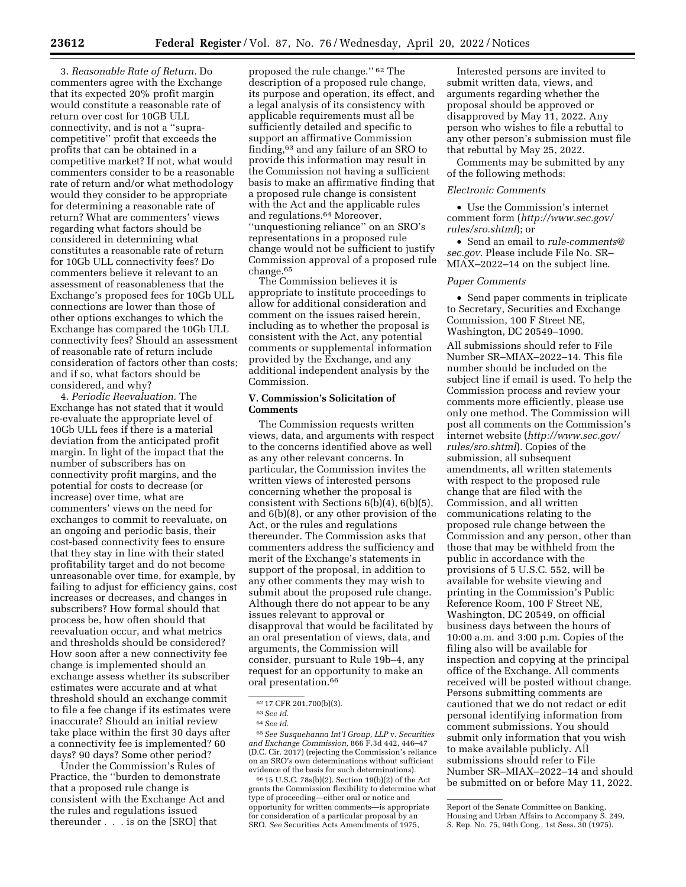3. *Reasonable Rate of Return.* Do commenters agree with the Exchange that its expected 20% profit margin would constitute a reasonable rate of return over cost for 10GB ULL connectivity, and is not a ''supracompetitive'' profit that exceeds the profits that can be obtained in a competitive market? If not, what would commenters consider to be a reasonable rate of return and/or what methodology would they consider to be appropriate for determining a reasonable rate of return? What are commenters' views regarding what factors should be considered in determining what constitutes a reasonable rate of return for 10Gb ULL connectivity fees? Do commenters believe it relevant to an assessment of reasonableness that the Exchange's proposed fees for 10Gb ULL connections are lower than those of other options exchanges to which the Exchange has compared the 10Gb ULL connectivity fees? Should an assessment of reasonable rate of return include consideration of factors other than costs; and if so, what factors should be considered, and why?

4. *Periodic Reevaluation.* The Exchange has not stated that it would re-evaluate the appropriate level of 10Gb ULL fees if there is a material deviation from the anticipated profit margin. In light of the impact that the number of subscribers has on connectivity profit margins, and the potential for costs to decrease (or increase) over time, what are commenters' views on the need for exchanges to commit to reevaluate, on an ongoing and periodic basis, their cost-based connectivity fees to ensure that they stay in line with their stated profitability target and do not become unreasonable over time, for example, by failing to adjust for efficiency gains, cost increases or decreases, and changes in subscribers? How formal should that process be, how often should that reevaluation occur, and what metrics and thresholds should be considered? How soon after a new connectivity fee change is implemented should an exchange assess whether its subscriber estimates were accurate and at what threshold should an exchange commit to file a fee change if its estimates were inaccurate? Should an initial review take place within the first 30 days after a connectivity fee is implemented? 60 days? 90 days? Some other period?

Under the Commission's Rules of Practice, the ''burden to demonstrate that a proposed rule change is consistent with the Exchange Act and the rules and regulations issued thereunder . . . is on the [SRO] that

proposed the rule change.'' 62 The description of a proposed rule change, its purpose and operation, its effect, and a legal analysis of its consistency with applicable requirements must all be sufficiently detailed and specific to support an affirmative Commission finding,63 and any failure of an SRO to provide this information may result in the Commission not having a sufficient basis to make an affirmative finding that a proposed rule change is consistent with the Act and the applicable rules and regulations.64 Moreover, ''unquestioning reliance'' on an SRO's representations in a proposed rule change would not be sufficient to justify Commission approval of a proposed rule change.65

The Commission believes it is appropriate to institute proceedings to allow for additional consideration and comment on the issues raised herein, including as to whether the proposal is consistent with the Act, any potential comments or supplemental information provided by the Exchange, and any additional independent analysis by the Commission.

# **V. Commission's Solicitation of Comments**

The Commission requests written views, data, and arguments with respect to the concerns identified above as well as any other relevant concerns. In particular, the Commission invites the written views of interested persons concerning whether the proposal is consistent with Sections 6(b)(4), 6(b)(5), and 6(b)(8), or any other provision of the Act, or the rules and regulations thereunder. The Commission asks that commenters address the sufficiency and merit of the Exchange's statements in support of the proposal, in addition to any other comments they may wish to submit about the proposed rule change. Although there do not appear to be any issues relevant to approval or disapproval that would be facilitated by an oral presentation of views, data, and arguments, the Commission will consider, pursuant to Rule 19b–4, any request for an opportunity to make an oral presentation.66

65*See Susquehanna Int'l Group, LLP* v. *Securities and Exchange Commission,* 866 F.3d 442, 446–47 (D.C. Cir. 2017) (rejecting the Commission's reliance on an SRO's own determinations without sufficient evidence of the basis for such determinations).

66 15 U.S.C. 78s(b)(2). Section 19(b)(2) of the Act grants the Commission flexibility to determine what type of proceeding—either oral or notice and opportunity for written comments—is appropriate for consideration of a particular proposal by an SRO. *See* Securities Acts Amendments of 1975,

Interested persons are invited to submit written data, views, and arguments regarding whether the proposal should be approved or disapproved by May 11, 2022. Any person who wishes to file a rebuttal to any other person's submission must file that rebuttal by May 25, 2022.

Comments may be submitted by any of the following methods:

#### *Electronic Comments*

• Use the Commission's internet comment form (*[http://www.sec.gov/](http://www.sec.gov/rules/sro.shtml)  [rules/sro.shtml](http://www.sec.gov/rules/sro.shtml)*); or

• Send an email to *[rule-comments@](mailto:rule-comments@sec.gov) [sec.gov.](mailto:rule-comments@sec.gov)* Please include File No. SR– MIAX–2022–14 on the subject line.

### *Paper Comments*

• Send paper comments in triplicate to Secretary, Securities and Exchange Commission, 100 F Street NE, Washington, DC 20549–1090.

All submissions should refer to File Number SR–MIAX–2022–14. This file number should be included on the subject line if email is used. To help the Commission process and review your comments more efficiently, please use only one method. The Commission will post all comments on the Commission's internet website (*[http://www.sec.gov/](http://www.sec.gov/rules/sro.shtml)  [rules/sro.shtml](http://www.sec.gov/rules/sro.shtml)*). Copies of the submission, all subsequent amendments, all written statements with respect to the proposed rule change that are filed with the Commission, and all written communications relating to the proposed rule change between the Commission and any person, other than those that may be withheld from the public in accordance with the provisions of 5 U.S.C. 552, will be available for website viewing and printing in the Commission's Public Reference Room, 100 F Street NE, Washington, DC 20549, on official business days between the hours of 10:00 a.m. and 3:00 p.m. Copies of the filing also will be available for inspection and copying at the principal office of the Exchange. All comments received will be posted without change. Persons submitting comments are cautioned that we do not redact or edit personal identifying information from comment submissions. You should submit only information that you wish to make available publicly. All submissions should refer to File Number SR–MIAX–2022–14 and should be submitted on or before May 11, 2022.

<sup>62</sup> 17 CFR 201.700(b)(3).

<sup>63</sup>*See id.* 

<sup>64</sup>*See id.* 

Report of the Senate Committee on Banking, Housing and Urban Affairs to Accompany S. 249, S. Rep. No. 75, 94th Cong., 1st Sess. 30 (1975).